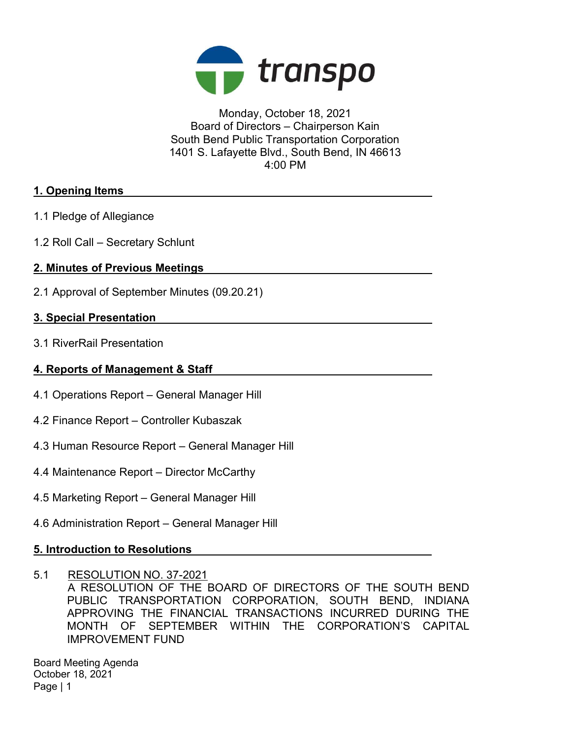

Monday, October 18, 2021 Board of Directors – Chairperson Kain South Bend Public Transportation Corporation 1401 S. Lafayette Blvd., South Bend, IN 46613 4:00 PM

## 1. Opening Items

- 1.1 Pledge of Allegiance
- 1.2 Roll Call Secretary Schlunt

# 2. Minutes of Previous Meetings

2.1 Approval of September Minutes (09.20.21)

## 3. Special Presentation

3.1 RiverRail Presentation

## 4. Reports of Management & Staff

- 4.1 Operations Report General Manager Hill
- 4.2 Finance Report Controller Kubaszak
- 4.3 Human Resource Report General Manager Hill
- 4.4 Maintenance Report Director McCarthy
- 4.5 Marketing Report General Manager Hill
- 4.6 Administration Report General Manager Hill

# 5. Introduction to Resolutions

5.1 RESOLUTION NO. 37-2021 A RESOLUTION OF THE BOARD OF DIRECTORS OF THE SOUTH BEND PUBLIC TRANSPORTATION CORPORATION, SOUTH BEND, INDIANA APPROVING THE FINANCIAL TRANSACTIONS INCURRED DURING THE MONTH OF SEPTEMBER WITHIN THE CORPORATION'S CAPITAL IMPROVEMENT FUND

Board Meeting Agenda October 18, 2021 Page | 1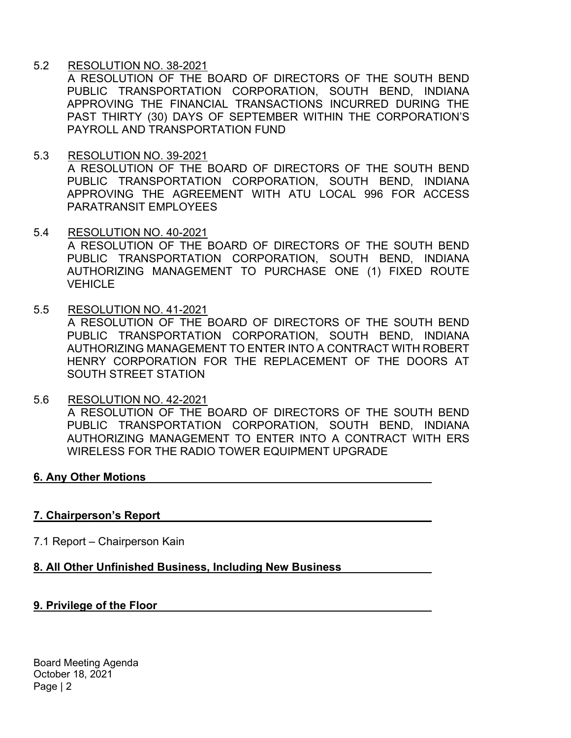## 5.2 RESOLUTION NO. 38-2021

A RESOLUTION OF THE BOARD OF DIRECTORS OF THE SOUTH BEND PUBLIC TRANSPORTATION CORPORATION, SOUTH BEND, INDIANA APPROVING THE FINANCIAL TRANSACTIONS INCURRED DURING THE PAST THIRTY (30) DAYS OF SEPTEMBER WITHIN THE CORPORATION'S PAYROLL AND TRANSPORTATION FUND

## 5.3 RESOLUTION NO. 39-2021

A RESOLUTION OF THE BOARD OF DIRECTORS OF THE SOUTH BEND PUBLIC TRANSPORTATION CORPORATION, SOUTH BEND, INDIANA APPROVING THE AGREEMENT WITH ATU LOCAL 996 FOR ACCESS PARATRANSIT FMPLOYEES

- 5.4 RESOLUTION NO. 40-2021 A RESOLUTION OF THE BOARD OF DIRECTORS OF THE SOUTH BEND PUBLIC TRANSPORTATION CORPORATION, SOUTH BEND, INDIANA AUTHORIZING MANAGEMENT TO PURCHASE ONE (1) FIXED ROUTE **VEHICLE**
- 5.5 RESOLUTION NO. 41-2021

A RESOLUTION OF THE BOARD OF DIRECTORS OF THE SOUTH BEND PUBLIC TRANSPORTATION CORPORATION, SOUTH BEND, INDIANA AUTHORIZING MANAGEMENT TO ENTER INTO A CONTRACT WITH ROBERT HENRY CORPORATION FOR THE REPLACEMENT OF THE DOORS AT SOUTH STREET STATION

5.6 RESOLUTION NO. 42-2021 A RESOLUTION OF THE BOARD OF DIRECTORS OF THE SOUTH BEND PUBLIC TRANSPORTATION CORPORATION, SOUTH BEND, INDIANA AUTHORIZING MANAGEMENT TO ENTER INTO A CONTRACT WITH ERS WIRELESS FOR THE RADIO TOWER EQUIPMENT UPGRADE

# 6. Any Other Motions

#### 7. Chairperson's Report

7.1 Report – Chairperson Kain

#### 8. All Other Unfinished Business, Including New Business

#### 9. Privilege of the Floor

Board Meeting Agenda October 18, 2021 Page | 2